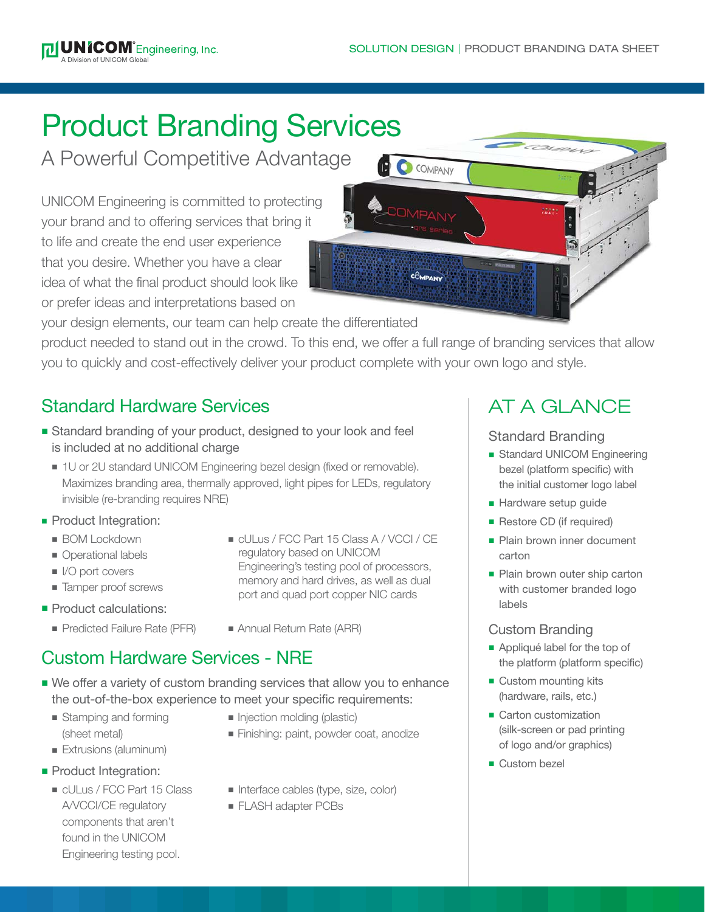# Product Branding Services

A Powerful Competitive Advantage

UNICOM Engineering is committed to protecting your brand and to offering services that bring it to life and create the end user experience that you desire. Whether you have a clear idea of what the final product should look like or prefer ideas and interpretations based on



your design elements, our team can help create the differentiated

product needed to stand out in the crowd. To this end, we offer a full range of branding services that allow you to quickly and cost-effectively deliver your product complete with your own logo and style.

# Standard Hardware Services

- Standard branding of your product, designed to your look and feel is included at no additional charge
	- 1U or 2U standard UNICOM Engineering bezel design (fixed or removable). Maximizes branding area, thermally approved, light pipes for LEDs, regulatory invisible (re-branding requires NRE)
- Product Integration:
	- **BOM Lockdown**
	- Operational labels
	- $\blacksquare$  I/O port covers
	- **n** Tamper proof screws
- **Product calculations:** 
	- Predicted Failure Rate (PFR) Annual Return Rate (ARR)
- **D** cULus / FCC Part 15 Class A / VCCI / CE regulatory based on UNICOM Engineering's testing pool of processors, memory and hard drives, as well as dual port and quad port copper NIC cards
- 

# Custom Hardware Services - NRE

- We offer a variety of custom branding services that allow you to enhance the out-of-the-box experience to meet your specific requirements:
	-
	- **Extrusions (aluminum)**
- **Product Integration:** 
	- cULus / FCC Part 15 Class A/VCCI/CE regulatory components that aren't found in the UNICOM Engineering testing pool.
- Stamping and forming **n** Injection molding (plastic)
	- (sheet metal) **n** Finishing: paint, powder coat, anodize
		- n Interface cables (type, size, color)
		- **FLASH adapter PCBs**

# AT A GLANCE

Standard Branding

- Standard UNICOM Engineering bezel (platform specific) with the initial customer logo label
- Hardware setup guide
- Restore CD (if required)
- Plain brown inner document carton
- Plain brown outer ship carton with customer branded logo labels

#### Custom Branding

- Appliqué label for the top of the platform (platform specific)
- $\blacksquare$  Custom mounting kits (hardware, rails, etc.)
- Carton customization (silk-screen or pad printing of logo and/or graphics)
- **n** Custom bezel